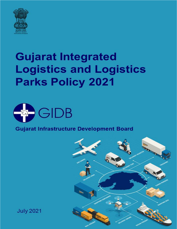

# **Gujarat Integrated Logistics and Logistics Parks Policy 2021**



## **Gujarat Infrastructure Development Board**



**July 2021**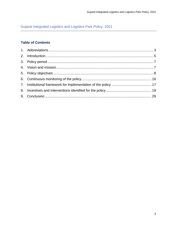## Gujarat Integrated Logistics and Logistics Park Policy, 2021

## **Table of Contents**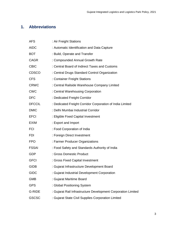## <span id="page-2-0"></span>**1. Abbreviations**

| <b>AFS</b>    | : Air Freight Stations                                        |
|---------------|---------------------------------------------------------------|
| <b>AIDC</b>   | : Automatic Identification and Data Capture                   |
| <b>BOT</b>    | : Build, Operate and Transfer                                 |
| <b>CAGR</b>   | : Compounded Annual Growth Rate                               |
| <b>CBIC</b>   | : Central Board of Indirect Taxes and Customs                 |
| <b>CDSCO</b>  | : Central Drugs Standard Control Organization                 |
| <b>CFS</b>    | : Container Freight Stations                                  |
| <b>CRWC</b>   | : Central Railside Warehouse Company Limited                  |
| <b>CWC</b>    | : Central Warehousing Corporation                             |
| <b>DFC</b>    | : Dedicated Freight Corridor                                  |
| <b>DFCCIL</b> | : Dedicated Freight Corridor Corporation of India Limited     |
| <b>DMIC</b>   | : Delhi Mumbai Industrial Corridor                            |
| <b>EFCI</b>   | : Eligible Fixed Capital Investment                           |
| <b>EXIM</b>   | : Export and Import                                           |
| <b>FCI</b>    | : Food Corporation of India                                   |
| <b>FDI</b>    | : Foreign Direct Investment                                   |
| <b>FPO</b>    | : Farmer Producer Organizations                               |
| <b>FSSAI</b>  | : Food Safety and Standards Authority of India                |
| <b>GDP</b>    | : Gross Domestic Product                                      |
| <b>GFCI</b>   | : Gross Fixed Capital Investment                              |
| <b>GIDB</b>   | : Gujarat Infrastructure Development Board                    |
| <b>GIDC</b>   | : Gujarat Industrial Development Corporation                  |
| <b>GMB</b>    | : Gujarat Maritime Board                                      |
| <b>GPS</b>    | : Global Positioning System                                   |
| <b>G-RIDE</b> | : Gujarat Rail Infrastructure Development Corporation Limited |
| <b>GSCSC</b>  | : Gujarat State Civil Supplies Corporation Limited            |
|               |                                                               |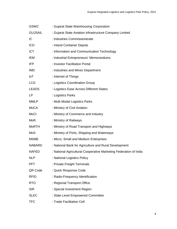| <b>GSWC</b>    | : Gujarat State Warehousing Corporation                           |
|----------------|-------------------------------------------------------------------|
| <b>GUJSAIL</b> | : Gujarat State Aviation Infrastructure Company Limited           |
| IC             | : Industries Commissionerate                                      |
| <b>ICD</b>     | : Inland Container Depots                                         |
| <b>ICT</b>     | : Information and Communication Technology                        |
| IEM            | : Industrial Entrepreneurs' Memorandums                           |
| IFP            | : Investor Facilitation Portal                                    |
| <b>IMD</b>     | : Industries and Mines Department                                 |
| IoT            | : Internet of Things                                              |
| <b>LCG</b>     | : Logistics Coordination Group                                    |
| <b>LEADS</b>   | : Logistics Ease Across Different States                          |
| LP             | : Logistics Parks                                                 |
| <b>MMLP</b>    | : Multi Modal Logistics Parks                                     |
| MoCA           | : Ministry of Civil Aviation                                      |
| <b>MoCI</b>    | : Ministry of Commerce and Industry                               |
| <b>MoR</b>     | : Ministry of Railways                                            |
| <b>MoRTH</b>   | : Ministry of Road Transport and Highways                         |
| MoS            | : Ministry of Ports, Shipping and Waterways                       |
| <b>MSME</b>    | : Micro, Small and Medium Enterprises                             |
| <b>NABARD</b>  | : National Bank for Agriculture and Rural Development             |
| <b>NAFED</b>   | : National Agricultural Cooperative Marketing Federation of India |
| <b>NLP</b>     | : National Logistics Policy                                       |
| <b>PFT</b>     | : Private Freight Terminals                                       |
| QR Code        | : Quick Response Code                                             |
| <b>RFID</b>    | : Radio-Frequency Identification                                  |
| <b>RTO</b>     | : Regional Transport Office                                       |
| <b>SIR</b>     | : Special Investment Region                                       |
| <b>SLEC</b>    | : State Level Empowered Committee                                 |
| <b>TFC</b>     | : Trade Facilitation Cell                                         |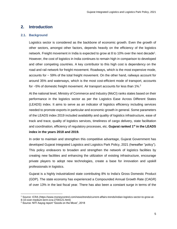## <span id="page-4-0"></span>**2. Introduction**

#### **2.1. Background**

Logistics sector is considered as the backbone of economic growth. Even the growth of other sectors, amongst other factors, depends heavily on the efficiency of the logistics network. Freight movement in India is expected to grow at 8 to 10% over the next decade<sup>1</sup>. However, the cost of logistics in India continues to remain high in comparison to developed and other competing countries. A key contributor to this high cost is dependency on the road and rail network for freight movement. Roadways, which is the most expensive mode, accounts for ~ 59% of the total freight movement. On the other hand, railways account for around 35% and waterways, which is the most cost-efficient mode of transport, accounts for  $\sim$  5% of domestic freight movement. Air transport accounts for less than 1%.<sup>2</sup>

At the national level, Ministry of Commerce and Industry (MoCI) ranks states based on their performance in the logistics sector as per the Logistics Ease Across Different States (LEADS) index. It aims to serve as an indicator of logistics efficiency including services needed to promote exports in particular and economic growth in general. Some parameters of the LEADS index 2019 included availability and quality of logistics infrastructure, ease of track and trace, quality of logistics services, timeliness of cargo delivery, state facilitation and coordination, efficiency of regulatory processes, etc. **Gujarat ranked 1st in the LEADS index in the years 2018 and 2019.**

In order to maintain and strengthen this competitive advantage, Gujarat Government has developed Gujarat Integrated Logistics and Logistics Park Policy, 2021 (hereafter "policy"). This policy endeavors to broaden and strengthen the network of logistics facilities by creating new facilities and enhancing the utilization of existing infrastructure, encourage private players to adopt new technologies, create a base for innovation and upskill professionals in logistics.

Gujarat is a highly industrialized state contributing 8% to India's Gross Domestic Product (GDP). The state economy has experienced a Compounded Annual Growth Rate (CAGR) of over 13% in the last fiscal year. There has also been a constant surge in terms of the

 $\overline{\phantom{a}}$ 

<sup>1</sup> Source: ICRA (https://www.moneycontrol.com/news/trends/current-affairs-trends/indian-logistics-sector-to-grow-at-8-10-over-medium-term-icra-2700121.html)

<sup>2</sup> Source: NITI Aayog report "Goods on the Move", 2018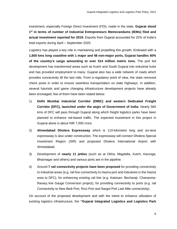investment, especially Foreign Direct Investment (FDI), made in the state. **Gujarat stood 1 st in terms of number of Industrial Entrepreneurs Memorandums (IEMs) filed and actual investment reported for 2019.** Exports from Gujarat accounted for 23% of India's total exports during April – September 2020.

Logistics has played a key role in maintaining and propelling this growth. Endowed with a **1,600 kms long coastline with 1 major and 48 non-major ports, Gujarat handles 40% of the country's cargo amounting to over 514 million metric tons.** The port led development has transformed areas such as Kutch and South Gujarat into industrial hubs and has provided employment to many. Gujarat also has a wide network of roads which provides connectivity till the last mile. From a regulatory point of view, the state removed check posts in order to ensure seamless transportation on state highways. In addition, several futuristic and game changing infrastructure development projects have already been envisaged; few of them have been stated below:

- 1) **Delhi Mumbai Industrial Corridor (DMIC) and western Dedicated Freight Corridor (DFC), launched under the aegis of Government of India:** Nearly 560 kms of DFC will pass through Gujarat along which freight logistics parks have been planned to enhance rail-based traffic. The expected investment in this project in Gujarat alone is about INR 7,000 crore.
- 2) **Ahmedabad Dholera Expressway** which is 110-kilometre long and six-lane expressway is also under construction. The expressway will connect Dholera Special Investment Region (SIR) and proposed Dholera International Airport with Ahmedabad.
- 3) Development of **nearly 11 jetties** (such as at Okha, Magdalla, Kutch, Karunga, Bhavnagar and others) and various ports are in the pipeline.
- 4) Around **7 rail connectivity projects have been proposed** for providing connectivity to industrial areas (e.g. rail line connectivity to Hazira port and industries in the Hazira area to DFC), for enhancing existing rail line (e.g. Katosan- Becharaji- Chanasma-Ranauj line Gauge Conversion project), for providing connectivity to ports (e.g. rail Connectivity to New Bedi Port, Rozi Port and Nargol Port Last Mile connectivity).

On account of the proposed development and with the intent to enhance utilization of existing logistics infrastructure, the **"Gujarat Integrated Logistics and Logistics Park**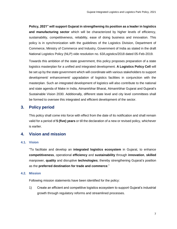**Policy, 2021" will support Gujarat in strengthening its position as a leader in logistics and manufacturing sector** which will be characterized by higher levels of efficiency, sustainability, competitiveness, reliability, ease of doing business and innovation. This policy is in synchronization with the guidelines of the Logistics Division, Department of Commerce, Ministry of Commerce and Industry, Government of India as stated in the draft National Logistics Policy (NLP) vide resolution no. 63/Logistics/2018 dated 05-Feb-2019.

Towards this ambition of the state government, this policy proposes preparation of a state logistics masterplan for a unified and integrated development. **A Logistics Policy Cell** will be set up by the state government which will coordinate with various stakeholders to support development/ enhancement/ upgradation of logistics facilities in conjunction with the masterplan. Such an integrated development of logistics will also contribute to the national and state agenda of Make in India, Atmanirbhar Bharat, Atmanirbhar Gujarat and Gujarat's Sustainable Vision 2030. Additionally, different state level and city level committees shall be formed to oversee this integrated and efficient development of the sector.

## <span id="page-6-0"></span>**3. Policy period**

This policy shall come into force with effect from the date of its notification and shall remain valid for a period of **5 (five) years** or till the declaration of a new or revised policy, whichever is earlier.

## <span id="page-6-1"></span>**4. Vision and mission**

#### **4.1. Vision**

"To facilitate and develop an **integrated logistics ecosystem** in Gujarat, to enhance **competitiveness**, operational **efficiency** and **sustainability** through **innovation**, **skilled**  manpower, **quality** and disruptive **technologies**; thereby strengthening Gujarat's position as the **preferred destination for trade and commerce**."

#### **4.2. Mission**

Following mission statements have been identified for the policy:

1) Create an efficient and competitive logistics ecosystem to support Gujarat's industrial growth through regulatory reforms and streamlined processes.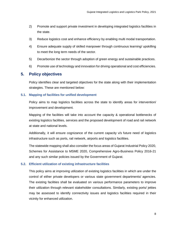- 2) Promote and support private investment in developing integrated logistics facilities in the state.
- 3) Reduce logistics cost and enhance efficiency by enabling multi modal transportation.
- 4) Ensure adequate supply of skilled manpower through continuous learning/ upskilling to meet the long term needs of the sector.
- 5) Decarbonize the sector through adoption of green energy and sustainable practices.
- 6) Promote use of technology and innovation for driving operational and cost efficiencies.

#### <span id="page-7-0"></span>**5. Policy objectives**

Policy identifies clear and targeted objectives for the state along with their implementation strategies. These are mentioned below:

#### **5.1. Mapping of facilities for unified development**

Policy aims to map logistics facilities across the state to identify areas for intervention/ improvement and development.

Mapping of the facilities will take into account the capacity & operational bottlenecks of existing logistics facilities, services and the proposed development of road and rail network at state and national levels.

Additionally, it will ensure cognizance of the current capacity v/s future need of logistics infrastructure such as ports, rail network, airports and logistics facilities.

The statewide mapping shall also consider the focus areas of Gujarat Industrial Policy 2020, Schemes for Assistance to MSME 2020, Comprehensive Agro-Business Policy 2016-21 and any such similar policies issued by the Government of Gujarat.

#### **5.2. Efficient utilization of existing infrastructure facilities**

This policy aims at improving utilization of existing logistics facilities in which are under the control of either private developers or various state government departments/ agencies. The existing facilities shall be evaluated on various performance parameters to improve their utilization through relevant stakeholder consultations. Similarly, existing ports/ jetties may be assessed to identify connectivity issues and logistics facilities required in their vicinity for enhanced utilization.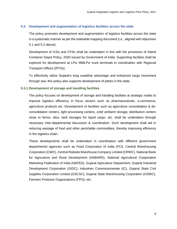#### **5.3. Development and augmentation of logistics facilities across the state**

The policy promotes development and augmentation of logistics facilities across the state in a systematic manner as per the statewide mapping document (i.e., aligned with objectives 5.1 and 5.2 above).

Development of ICDs and CFSs shall be undertaken in line with the provisions of Inland Container Depot Policy, 2020 issued by Government of India. Supporting facilities shall be explored for development at LPs/ MMLPs/ truck terminals in coordination with Regional Transport Offices (RTOs).

To effectively utilize Gujarat's long coastline advantage and enhanced cargo movement through sea, this policy also supports development of jetties in the state.

#### **5.3.1.Development of storage and handling facilities**

The policy focuses on development of storage and handling facilities at strategic nodes to improve logistics efficiency in focus sectors such as pharmaceuticals, e-commerce, agriculture products etc. Development of facilities such as agriculture consolidation & deconsolidation centers, light processing centers, cold/ ambient storage, distribution centers close to farms, silos, tank storages for liquid cargo, etc. shall be undertaken through necessary inter-departmental discussion & coordination. Such development shall aid in reducing wastage of food and other perishable commodities, thereby improving efficiency in the logistics chain.

These developments shall be undertaken in coordination with different government departments/ agencies such as Food Corporation of India (FCI), Central Warehousing Corporation (CWC), Central Railside Warehouse Company Limited (CRWC), National Bank for Agriculture and Rural Development (NABARD), National Agricultural Cooperative Marketing Federation of India (NAFED), Gujarat Agriculture Department, Gujarat Industrial Development Corporation (GIDC), Industries Commissionerate (IC), Gujarat State Civil Supplies Corporation Limited (GSCSC), Gujarat State Warehousing Corporation (GSWC), Farmers Producer Organizations (FPO), etc.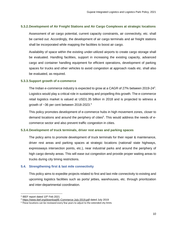#### **5.3.2.Development of Air Freight Stations and Air Cargo Complexes at strategic locations**

Assessment of air cargo potential, current capacity constraints, air connectivity, etc. shall be carried out. Accordingly, the development of air cargo terminals and air freight stations shall be incorporated while mapping the facilities to boost air cargo.

Availability of space within the existing under-utilized airports to create cargo storage shall be evaluated. Handling facilities, support in increasing the existing capacity, advanced cargo and container handling equipment for efficient operations, development of parking spaces for trucks and other vehicles to avoid congestion at approach roads etc. shall also be evaluated, as required.

#### **5.3.3.Support growth of e-commerce**

The Indian e-commerce industry is expected to grow at a CAGR of 27% between 2019-24<sup>3</sup>. Logistics would play a critical role in sustaining and propelling this growth. The e-commerce retail logistics market is valued at USD1.35 billion in 2018 and is projected to witness a growth of ~36 per cent between 2018-2023.<sup>4</sup>

This policy promotes development of e-commerce hubs in high movement zones, closer to demand locations and around the periphery of cities<sup>5</sup>. This would address the needs of ecommerce sector and also prevent traffic congestion in cities.

#### **5.3.4.Development of truck terminals, driver rest areas and parking spaces**

The policy aims to promote development of truck terminals for their repair & maintenance, driver rest areas and parking spaces at strategic locations (national/ state highways, expressways intersection points, etc.), near industrial parks and around the periphery of high cargo density areas. This will ease out congestion and provide proper waiting areas to trucks during city timing restrictions.

#### **5.4. Strengthening first & last mile connectivity**

This policy aims to expedite projects related to first and last mile connectivity to existing and upcoming logistics facilities such as ports/ jetties, warehouses, etc. through prioritization and inter-departmental coordination.

 $\overline{\phantom{a}}$ 

<sup>&</sup>lt;sup>3</sup> IBEF report dated 10<sup>th</sup> Feb 2021

<sup>4</sup> <https://www.ibef.org/download/E-Commerce-July-2019.pdf> dated July 2019

<sup>&</sup>lt;sup>5</sup> These locations can be reviewed every few years to adjust to the extended city limits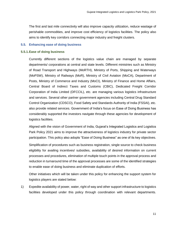The first and last mile connectivity will also improve capacity utilization, reduce wastage of perishable commodities, and improve cost efficiency of logistics facilities. The policy also aims to identify key corridors connecting major industry and freight clusters.

#### **5.5. Enhancing ease of doing business**

#### **5.5.1.Ease of doing business**

Currently different sections of the logistics value chain are managed by separate departments/ corporations at central and state levels. Different ministries such as Ministry of Road Transport and Highways (MoRTH), Ministry of Ports, Shipping and Waterways (MoPSW), Ministry of Railways (MoR), Ministry of Civil Aviation (MoCA), Department of Posts, Ministry of Commerce and Industry (MoCI), Ministry of Finance and Home Affairs, Central Board of Indirect Taxes and Customs (CBIC), Dedicated Freight Corridor Corporation of India Limited (DFCCIL), etc. are managing various logistics infrastructure and services. Several other partner government agencies including Central Drug Standard Control Organization (CDSCO), Food Safety and Standards Authority of India (FSSAI), etc. also provide related services. Government of India's focus on Ease of Doing Business has considerably supported the investors navigate through these agencies for development of logistics facilities.

Aligned with the vision of Government of India, Gujarat's Integrated Logistics and Logistics Park Policy 2021 aims to improve the attractiveness of logistics industry for private sector participation. This policy also adopts "Ease of Doing Business" as one of its key objectives.

Simplification of procedures such as business registration, single source to check business eligibility for availing incentives/ subsidies, availability of desired information on current processes and procedures, elimination of multiple touch points in the approval process and reduction in turnaround time of the approval processes are some of the identified strategies to enable ease of doing business and eliminate duplication of efforts.

Other initiatives which will be taken under this policy for enhancing the support system for logistics players are stated below:

1) Expedite availability of power, water, right of way and other support infrastructure to logistics facilities developed under this policy through coordination with relevant departments.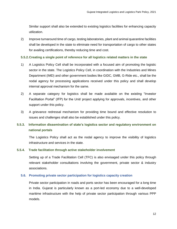Similar support shall also be extended to existing logistics facilities for enhancing capacity utilization.

2) Improve turnaround time of cargo, testing laboratories, plant and animal quarantine facilities shall be developed in the state to eliminate need for transportation of cargo to other states for availing certifications, thereby reducing time and cost.

#### **5.5.2.Creating a single point of reference for all logistics related matters in the state**

- 1) A Logistics Policy Cell shall be incorporated with a focused aim of promoting the logistic sector in the state. The Logistics Policy Cell, in coordination with the Industries and Mines Department (IMD) and other government bodies like GIDC, GMB, G-Ride etc., shall be the nodal agency for processing applications received under this policy and shall develop internal approval mechanism for the same.
- 2) A separate category for logistics shall be made available on the existing "Investor Facilitation Portal" (IFP) for the Unit/ project applying for approvals, incentives, and other support under this policy.
- 3) A grievance redressal mechanism for providing time bound and effective resolution to issues and challenges shall also be established under this policy.

## **5.5.3. Information dissemination of state's logistics sector and regulatory environment on national portals**

The Logistics Policy shall act as the nodal agency to improve the visibility of logistics infrastructure and services in the state.

#### **5.5.4. Trade facilitation through active stakeholder involvement**

Setting up of a Trade Facilitation Cell (TFC) is also envisaged under this policy through relevant stakeholder consultations involving the government, private sector & industry associations.

#### **5.6. Promoting private sector participation for logistics capacity creation**

Private sector participation in roads and ports sector has been encouraged for a long time in India. Gujarat is particularly known as a port-led economy due to a well-developed maritime infrastructure with the help of private sector participation through various PPP models.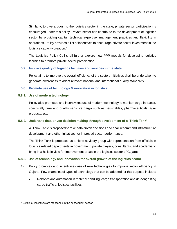Similarly, to give a boost to the logistics sector in the state, private sector participation is encouraged under this policy. Private sector can contribute to the development of logistics sector by providing capital, technical expertise, management practices and flexibility in operations. Policy provides a list of incentives to encourage private sector investment in the logistics capacity creation.<sup>6</sup>

The Logistics Policy Cell shall further explore new PPP models for developing logistics facilities to promote private sector participation.

#### **5.7. Improve quality of logistics facilities and services in the state**

Policy aims to improve the overall efficiency of the sector. Initiatives shall be undertaken to generate awareness to adopt relevant national and international quality standards.

#### **5.8. Promote use of technology & innovation in logistics**

#### **5.8.1. Use of modern technology**

Policy also promotes and incentivizes use of modern technology to monitor cargo in transit, specifically time and quality sensitive cargo such as perishables, pharmaceuticals, agro products, etc.

#### **5.8.2. Undertake data driven decision making through development of a 'Think Tank'**

A 'Think Tank' is proposed to take data driven decisions and shall recommend infrastructure development and other initiatives for improved sector performance.

The Think Tank is proposed as a niche advisory group with representation from officials in logistics related departments in government, private players, consultants, and academia to bring in a holistic view for improvement areas in the logistics sector of Gujarat.

#### **5.8.3. Use of technology and innovation for overall growth of the logistics sector**

- 1) Policy promotes and incentivizes use of new technologies to improve sector efficiency in Gujarat. Few examples of types of technology that can be adopted for this purpose include:
	- Robotics and automation in material handling, cargo transportation and de-congesting cargo traffic at logistics facilities.

 $\overline{\phantom{a}}$ 

<sup>&</sup>lt;sup>6</sup> Details of incentives are mentioned in the subsequent section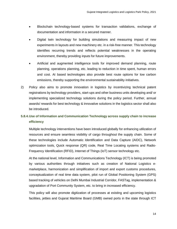- Blockchain technology-based systems for transaction validations, exchange of documentation and information in a secured manner.
- Digital twin technology for building simulations and measuring impact of new experiments in layouts and new machinery etc. in a risk-free manner. This technology identifies recurring trends and reflects potential weaknesses in the operating environment, thereby providing inputs for future improvements.
- Artificial and augmented intelligence tools for improved demand planning, route planning, operations planning, etc. leading to reduction in time spent, human errors and cost. AI based technologies also provide best route options for low carbon emissions, thereby supporting the environmental sustainability initiatives.
- 2) Policy also aims to promote innovation in logistics by incentivizing technical patent registrations by technology providers, start-ups and other business units developing and/ or implementing specialized technology solutions during the policy period. Further, annual awards/ rewards for best technology & innovative solutions in the logistics sector shall also be introduced.

## **5.8.4.Use of Information and Communication Technology across supply chain to increase efficiency**

Multiple technology interventions have been introduced globally for enhancing utilization of resources and ensure seamless visibility of cargo throughout the supply chain. Some of these technologies include Automatic Identification and Data Capture (AIDC), Network optimization tools, Quick response (QR) code, Real Time Locating systems and Radio-Frequency Identification (RFID), Internet of Things (IoT) sensor technology etc.

At the national level, Information and Communications Technology (ICT) is being promoted by various authorities through initiatives such as creation of National Logistics emarketplace, harmonization and simplification of import and export customs procedures, conceptualization of real time data system, pilot run of Global Positioning System (GPS) based tracking of vehicles on Delhi Mumbai Industrial Corridor, FASTag, implementation & upgradation of Port Community System, etc. to bring in increased efficiency.

This policy will also promote digitization of processes at existing and upcoming logistics facilities, jetties and Gujarat Maritime Board (GMB) owned ports in the state through ICT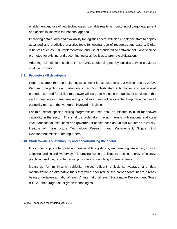enablement and use of new technologies to enable real time monitoring of cargo, equipment and assets in line with the national agenda.

Improving data quality and availability for logistics sector will also enable the state to deploy advanced and predictive analytics tools for optimal use of resources and assets. Digital initiatives such as ERP implementation and use of standardized software solutions shall be promoted for existing and upcoming logistics facilities to promote digitization.

Adopting ICT solutions such as RFID, GPS, Geofencing etc. by logistics service providers shall be promoted.

#### **5.9. Promote skill development**

Reports suggest that the Indian logistics sector is expected to add 3 million jobs by 2022<sup>7</sup>. With such projections and adoption of new & sophisticated technologies and specialized procedures; need for skilled manpower will surge to maintain the quality of services in this sector. Training for managerial and ground level roles will be essential to upgrade the overall capability matrix of the workforce involved in logistics.

For this, sector specific skilling programs/ courses shall be initiated to build manpower capability in the sector. This shall be undertaken through tie-ups with national and state level educational institutions and government bodies such as Gujarat Maritime University, Institute of Infrastructure Technology Research and Management, Gujarat Skill Development Mission, among others.

#### **5.10. Work towards sustainability and decarbonizing the sector**

It is crucial to promote green and sustainable logistics by encouraging use of rail, coastal shipping and inland waterways; improving vehicle utilization; raising energy efficiency; practicing 'reduce, recycle, reuse' principle and switching to greener fuels.

Measures for minimizing vehicular noise, effluent emissions, wastage and duty rationalization on alternative fuels that will further reduce the carbon footprint are already being undertaken at national level. At international level, Sustainable Development Goals (SDGs) encourage use of green technologies.

 $\overline{\phantom{a}}$ 

<sup>7</sup> Source: Teamlease report dated May 2018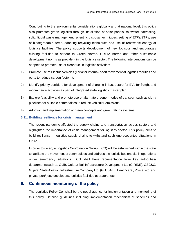Contributing to the environmental considerations globally and at national level, this policy also promotes green logistics through installation of solar panels, rainwater harvesting, solid/ liquid waste management, scientific disposal techniques, setting of ETPs/STPs, use of biodegradable items, adopting recycling techniques and use of renewable energy at logistics facilities. The policy supports development of new logistics and encourages existing facilities to adhere to Green Norms, GRIHA norms and other sustainable development norms as prevalent in the logistics sector. The following interventions can be adopted to promote use of clean fuel in logistics activities:

- 1) Promote use of Electric Vehicles (EVs) for internal/ short movement at logistics facilities and ports to reduce carbon footprint.
- 2) Identify priority corridors for development of charging infrastructure for EVs for freight and e-commerce activities as part of integrated state logistics master plan.
- 3) Explore feasibility and promote use of alternate greener modes of transport such as slurry pipelines for suitable commodities to reduce vehicular emissions.
- 4) Adoption and implementation of green concepts and green ratings systems.

#### **5.11. Building resilience for crisis management**

The recent pandemic affected the supply chains and transportation across sectors and highlighted the importance of crisis management for logistics sector. This policy aims to build resilience in logistics supply chains to withstand such unprecedented situations in future.

In order to do so, a Logistics Coordination Group (LCG) will be established within the state to facilitate the movement of commodities and address the logistic bottlenecks in operations under emergency situations. LCG shall have representation from key authorities/ departments such as GMB, Gujarat Rail Infrastructure Development Ltd (G-RIDE), GSCSC, Gujarat State Aviation Infrastructure Company Ltd. (GUJSAIL), Healthcare , Police, etc. and private port/ jetty developers, logistics facilities operators, etc.

## <span id="page-15-0"></span>**6. Continuous monitoring of the policy**

The Logistics Policy Cell shall be the nodal agency for implementation and monitoring of this policy. Detailed guidelines including implementation mechanism of schemes and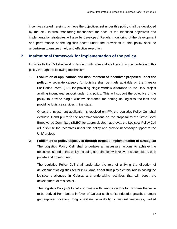incentives stated herein to achieve the objectives set under this policy shall be developed by the cell. Internal monitoring mechanism for each of the identified objectives and implementation strategies will also be developed. Regular monitoring of the development and performance of the logistics sector under the provisions of this policy shall be undertaken to ensure timely and effective execution.

## <span id="page-16-0"></span>**7. Institutional framework for implementation of the policy**

Logistics Policy Cell shall work in tandem with other stakeholders for implementation of this policy through the following mechanism.

**1. Evaluation of applications and disbursement of incentives proposed under the policy:** A separate category for logistics shall be made available on the Investor Facilitation Portal (IFP) for providing single window clearance to the Unit/ project availing incentives/ support under this policy. This will support the objective of the policy to provide single window clearance for setting up logistics facilities and providing logistics services in the state.

Once, the investment application is received on IFP, the Logistics Policy Cell shall evaluate it and put forth the recommendations on the proposal to the State Level Empowered Committee (SLEC) for approval. Upon approval, the Logistics Policy Cell will disburse the incentives under this policy and provide necessary support to the Unit/ project.

**2. Fulfillment of policy objectives through targeted implementation of strategies:**  The Logistics Policy Cell shall undertake all necessary actions to achieve the objectives stated in this policy including coordination with relevant stakeholders, both private and government.

The Logistics Policy Cell shall undertake the role of unifying the direction of development of logistics sector in Gujarat. It shall thus play a crucial role in easing the logistics challenges in Gujarat and undertaking activities that will boost the development of this sector.

The Logistics Policy Cell shall coordinate with various sectors to maximize the value to be derived from factors in favor of Gujarat such as its industrial growth, strategic geographical location, long coastline, availability of natural resources, skilled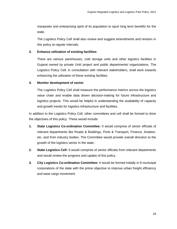manpower and enterprising spirit of its population to spurt long term benefits for the state.

The Logistics Policy Cell shall also review and suggest amendments and revision in this policy at regular intervals.

#### **3. Enhance utilization of existing facilities**

There are various warehouses, cold storage units and other logistics facilities in Gujarat owned by private Unit/ project and public departments/ organizations. The Logistics Policy Cell, in consultation with relevant stakeholders, shall work towards enhancing the utilization of these existing facilities.

#### **4. Monitor development of sector**

The Logistics Policy Cell shall measure the performance metrics across the logistics value chain and enable data driven decision-making for future infrastructure and logistics projects. This would be helpful in understanding the availability of capacity and growth trends for logistics infrastructure and facilities.

In addition to the Logistics Policy Cell, other committees and cell shall be formed to drive the objectives of this policy. These would include:

- **1. State Logistics Co-ordination Committee:** It would comprise of senior officials of relevant departments like Roads & Buildings, Ports & Transport, Finance, Aviation, etc. and from industry bodies. The Committee would provide overall direction to the growth of the logistics sector in the state.
- **2. State Logistics Cell:** It would comprise of senior officials from relevant departments and would review the progress and uptake of this policy.
- **3. City Logistics Co-ordination Committee:** It would be formed initially in 8 municipal corporations of the state with the prime objective to improve urban freight efficiency and ease cargo movement.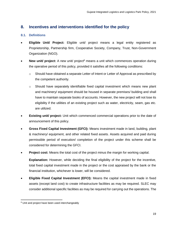## <span id="page-18-0"></span>**8. Incentives and interventions identified for the policy**

#### **8.1. Definitions**

- **Eligible Unit/ Project:** Eligible unit/ project means a legal entity registered as Proprietorship, Partnership firm, Cooperative Society, Company, Trust, Non-Government Organization (NGO).
- **New unit/ project:** A new unit/ project<sup>8</sup> means a unit which commences operation during the operative period of this policy, provided it satisfies all the following conditions:
	- $\circ$  Should have obtained a separate Letter of Intent or Letter of Approval as prescribed by the competent authority.
	- $\circ$  Should have separately identifiable fixed capital investment which means new plant and machinery/ equipment should be housed in separate premises/ building and shall have to maintain separate books of accounts. However, the new project will not lose its eligibility if the utilities of an existing project such as water, electricity, seam, gas etc. are utilized.
- **Existing unit/ project:** Unit which commenced commercial operations prior to the date of announcement of this policy.
- **Gross Fixed Capital Investment (GFCI):** Means investment made in land, building, plant & machinery/ equipment, and other related fixed assets. Assets acquired and paid during permissible period of execution/ completion of the project under this scheme shall be considered for determining the GFCI.
- **Project cost:** Means the total cost of the project minus the margin for working capital.

**Explanation:** However, while deciding the final eligibility of the project for the incentive, total fixed capital investment made in the project or the cost appraised by the bank or the financial institution, whichever is lower, will be considered.

 **Eligible Fixed Capital Investment (EFCI):** Means the capital investment made in fixed assets (except land cost) to create infrastructure facilities as may be required. SLEC may consider additional specific facilities as may be required for carrying out the operations. The

 $\overline{\phantom{a}}$ <sup>8</sup> Unit and project have been used interchangeably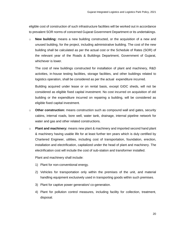eligible cost of construction of such infrastructure facilities will be worked out in accordance to prevalent SOR norms of concerned Gujarat Government Department or its undertakings.

o **New building:** means a new building constructed, or the acquisition of a new and unused building, for the project, including administrative building. The cost of the new building shall be calculated as per the actual cost or the Schedule of Rates (SOR) of the relevant year of the Roads & Buildings Department, Government of Gujarat, whichever is lower.

The cost of new buildings constructed for installation of plant and machinery, R&D activities, in-house testing facilities, storage facilities, and other buildings related to logistics operation, shall be considered as per the actual expenditure incurred.

Building acquired under lease or on rental basis, except GIDC sheds, will not be considered as eligible fixed capital investment. No cost incurred on acquisition of old building or the expenditure incurred on repairing a building, will be considered as eligible fixed capital investment.

- o **Other construction:** means construction such as compound wall and gates, security cabins, internal roads, bore well, water tank, drainage, internal pipeline network for water and gas and other related constructions.
- o **Plant and machinery:** means new plant & machinery and imported second hand plant & machinery having usable life for at least further ten years which is duly certified by Chartered Engineer, utilities, including cost of transportation, foundation, erection, installation and electrification, capitalized under the head of plant and machinery. The electrification cost will include the cost of sub-station and transformer installed.

Plant and machinery shall include:

- 1) Plant for non-conventional energy.
- 2) Vehicles for transportation only within the premises of the unit, and material handling equipment exclusively used in transporting goods within such premises.
- 3) Plant for captive power generation/ co-generation.
- 4) Plant for pollution control measures, including facility for collection, treatment, disposal.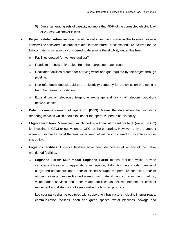- 5) Diesel generating sets of capacity not more than 50% of the connected electric load or 25 MW, whichever is less.
- **Project related infrastructure:** Fixed capital investment made in the following assets/ items will be considered as project related infrastructure. Direct expenditure incurred for the following items will also be considered to determine the eligibility under this head:
	- o Facilities created for workers and staff.
	- o Roads to the new unit/ project from the nearest approach road.
	- $\circ$  Dedicated facilities created for carrying water and gas required by the project through pipeline.
	- $\circ$  Non-refundable deposit paid to the electricity company for transmission of electricity from the nearest sub-station.
	- $\circ$  Expenditure on electronic telephone exchange and laying of telecommunication/ network cables.
- **Date of commencement of operation (DCO):** Means the date when the unit starts rendering services which should fall under the operative period of this policy.
- **Eligible term loan:** Means loan sanctioned by a financial institution/ bank (except NBFC) for investing in GFCI or equivalent to GFCI of the enterprise. However, only the amount actually disbursed against the sanctioned amount will be considered for incentives under this policy.
- **Logistics facilities:** Logistics facilities have been defined as all or any of the below mentioned facilities:
	- o **Logistics Parks**/ **Multi-modal Logistics Parks** means facilities which provide services such as cargo aggregation/ segregation, distribution, inter-modal transfer of cargo and containers, open and/ or closed storage, temperature controlled and/ or ambient storage, custom bonded warehouse, material handling equipment, parking, value added services and other related facilities as per requirement for efficient movement and distribution of semi-finished or finished products.

Logistics parks shall be equipped with supporting infrastructure including internal roads, communication facilities, open and green spaces, water pipelines, sewage and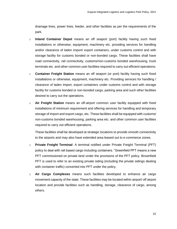drainage lines, power lines, feeder, and other facilities as per the requirements of the park.

- o **Inland Container Depot** means an off seaport (port) facility having such fixed installations or otherwise, equipment, machinery etc. providing services for handling and/or clearance of laden import/ export containers, under customs control and with storage facility for customs bonded or non-bonded cargo. These facilities shall have road connectivity, rail connectivity, customs/non-customs bonded warehousing, truck terminals etc. and other common user facilities required to carry out efficient operations.
- o **Container Freight Station** means an off seaport (or port) facility having such fixed installations or otherwise, equipment, machinery etc. Providing services for handling / clearance of laden import, export containers under customs control and with storage facility for customs bonded or non-bonded cargo, parking area and such other facilities desired to carry out the operations.
- o **Air Freight Station** means an off-airport common user facility equipped with fixed installations of minimum requirement and offering services for handling and temporary storage of import and export cargo, etc. These facilities shall be equipped with customs/ non-customs bonded warehousing, parking area etc. and other common user facilities required to carry out efficient operations.

These facilities shall be developed at strategic locations to provide smooth connectivity to the airports and may also have extended area leased out to e-commerce zones.

- o **Private Freight Terminal**: A terminal notified under Private Freight Terminal (PFT) policy to deal with rail based cargo including containers. "Greenfield PFT means a new PFT commissioned on private land under the provisions of the PFT policy. Brownfield PFT is used to refer to an existing private siding (including the private sidings dealing with container traffic) converted into PFT under the policy.
- o **Air Cargo Complexes** means such facilities developed to enhance air cargo movement capacity of the state. These facilities may be located within airport/ off airport location and provide facilities such as handling, storage, clearance of cargo, among others.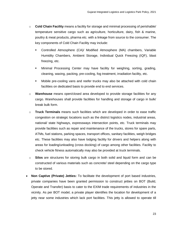- o **Cold Chain Facility** means a facility for storage and minimal processing of perishable/ temperature sensitive cargo such as agriculture, horticulture, dairy, fish & marine, poultry & meat products, pharma etc. with a linkage from source to the consumer. The key components of Cold Chain Facility may include:
	- Controlled Atmosphere (CA)/ Modified Atmosphere (MA) chambers, Variable Humidity Chambers, Ambient Storage, Individual Quick Freezing (IQF), blast freezing, etc.
	- Minimal Processing Center may have facility for weighing, sorting, grading, cleaning, waxing, packing, pre-cooling, fog treatment, irradiation facility, etc.
	- Mobile pre-cooling vans and reefer trucks may also be attached with cold chain facilities on dedicated basis to provide end to end services.
- o **Warehouse** means open/closed area developed to provide storage facilities for any cargo. Warehouses shall provide facilities for handling and storage of cargo in bulk/ break bulk form.
- o **Truck Terminals** means such facilities which are developed in order to ease traffic congestion on strategic locations such as the district logistics nodes, industrial areas, national/ state highways, expressways intersection points, etc. Truck terminals may provide facilities such as repair and maintenance of the trucks, stores for spare parts, ATMs, fuel stations, parking spaces, transport offices, sanitary facilities, weigh bridges etc. These facilities may also have lodging facility for drivers and helpers along with areas for loading/unloading (cross docking) of cargo among other facilities. Facility to check vehicle fitness automatically may also be provided at truck terminals.
- o **Silos** are structures for storing bulk cargo in both solid and liquid form and can be constructed of various materials such as concrete/ steel depending on the cargo type to be stored.
- **Non Captive (Private) Jetties:** To facilitate the development of port based industries, private companies have been granted permission to construct jetties on BOT (Build, Operate and Transfer) basis to cater to the EXIM trade requirements of industries in the vicinity. As per BOT model, a private player identifies the location for development of a jetty near some industries which lack port facilities. This jetty is allowed to operate till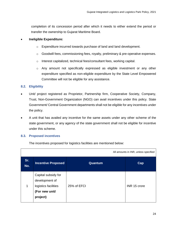completion of its concession period after which it needs to either extend the period or transfer the ownership to Gujarat Maritime Board.

#### **Ineligible Expenditure:**

- o Expenditure incurred towards purchase of land and land development.
- o Goodwill fees, commissioning fees, royalty, preliminary & pre-operative expenses.
- o Interest capitalized, technical fees/consultant fees, working capital.
- o Any amount not specifically expressed as eligible investment or any other expenditure specified as non-eligible expenditure by the State Level Empowered Committee will not be eligible for any assistance.

#### **8.2. Eligibility**

- Unit/ project registered as Proprietor, Partnership firm, Cooperative Society, Company, Trust, Non-Government Organization (NGO) can avail incentives under this policy. State Government/ Central Government departments shall not be eligible for any incentives under the policy.
- A unit that has availed any incentive for the same assets under any other scheme of the state government, or any agency of the state government shall not be eligible for incentive under this scheme.

#### **8.3. Proposed incentives**

The incentives proposed for logistics facilities are mentioned below:

|            | All amounts in INR, unless specified                                                        |             |              |  |
|------------|---------------------------------------------------------------------------------------------|-------------|--------------|--|
| Sr.<br>No. | <b>Incentive Proposed</b>                                                                   | Quantum     | Cap          |  |
| 1          | Capital subsidy for<br>development of<br>logistics facilities<br>(For new unit/<br>project) | 25% of EFCI | INR 15 crore |  |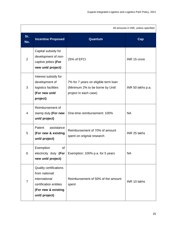| All amounts in INR, unless specified |                                                                                                                                     |                                                                                                   |                   |
|--------------------------------------|-------------------------------------------------------------------------------------------------------------------------------------|---------------------------------------------------------------------------------------------------|-------------------|
| Sr.<br>No.                           | <b>Incentive Proposed</b>                                                                                                           | Quantum                                                                                           | Cap               |
| $\overline{2}$                       | Capital subsidy for<br>development of non-<br>captive jetties (For<br>new unit/ project)                                            | 25% of EFCI                                                                                       | INR 15 crore      |
| 3                                    | Interest subsidy for<br>development of<br>logistics facilities<br>(For new unit/<br>project)                                        | 7% for 7 years on eligible term loan<br>(Minimum 2% to be borne by Unit/<br>project in each case) | INR 50 lakhs p.a. |
| $\overline{4}$                       | Reimbursement of<br>stamp duty (For new<br>unit/ project)                                                                           | One-time reimbursement: 100%                                                                      | <b>NA</b>         |
| 5                                    | Patent<br>assistance<br>(For new & existing<br>unit/ project)                                                                       | Reimbursement of 70% of amount<br>spent on original research                                      | INR 25 lakhs      |
| 6                                    | Exemption<br><b>of</b><br>electricity duty (For<br>new unit/ project)                                                               | Exemption: 100% p.a. for 5 years                                                                  | <b>NA</b>         |
| $\overline{7}$                       | <b>Quality certifications</b><br>from national/<br>international<br>certification entities<br>(For new & existing<br>unit/ project) | Reimbursement of 50% of the amount<br>spent                                                       | INR 10 lakhs      |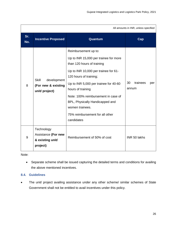| All amounts in INR, unless specified |                                                                      |                                                                                                                                                                                                                                                                                                                                                                           |                                |
|--------------------------------------|----------------------------------------------------------------------|---------------------------------------------------------------------------------------------------------------------------------------------------------------------------------------------------------------------------------------------------------------------------------------------------------------------------------------------------------------------------|--------------------------------|
| Sr.<br>No.                           | <b>Incentive Proposed</b>                                            | Quantum                                                                                                                                                                                                                                                                                                                                                                   | Cap                            |
| 8                                    | <b>Skill</b><br>development<br>(For new & existing<br>unit/ project) | Reimbursement up to:<br>Up to INR 15,000 per trainee for more<br>than 120 hours of training<br>Up to INR 10,000 per trainee for 61-<br>120 hours of training;<br>Up to INR 5,000 per trainee for 40-60<br>hours of training<br>Note: 100% reimbursement in case of<br>BPL, Physically Handicapped and<br>women trainees.<br>75% reimbursement for all other<br>candidates | 30<br>trainees<br>per<br>annum |
| 9                                    | Technology<br>Assistance (For new<br>& existing unit/<br>project)    | Reimbursement of 50% of cost                                                                                                                                                                                                                                                                                                                                              | INR 50 lakhs                   |

Note:

 Separate scheme shall be issued capturing the detailed terms and conditions for availing the above mentioned incentives.

#### **8.4. Guidelines**

 The unit/ project availing assistance under any other scheme/ similar schemes of State Government shall not be entitled to avail incentives under this policy.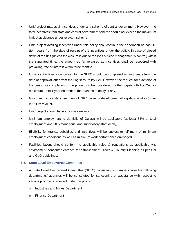- Unit/ project may avail incentives under any scheme of central government. However, the total incentives from state and central government scheme should not exceed the maximum limit of assistance under relevant scheme.
- Unit/ project availing incentives under this policy shall continue their operation at least 10 (ten) years from the date of receipt of the incentives under the policy. In case of closed down of the unit (unless the closure is due to reasons outside management's control) within the stipulated time, the amount so far released as incentives shall be recovered with prevailing rate of interest within three months.
- Logistics Facilities as approved by the SLEC should be completed within 3 years from the date of approval letter from the Logistics Policy Cell. However, the request for extension of the period for completion of the project will be considered by the Logistics Policy Cell for maximum up to 1 year on merit of the reasons of delay, if any.
- Minimum fixed capital investment of INR 1 crore for development of logistics facilities (other than LP/ MMLP).
- Unit/ project should have a positive net-worth.
- Minimum employment to domicile of Gujarat will be applicable (at least 85% of total employment and 60% managerial and supervisory staff locally).
- Eligibility for grants, subsidies and incentives will be subject to fulfilment of minimum employment conditions as well as minimum work performance envisaged.
- Facilities layout should conform to applicable rules & regulations as applicable viz. environment consent/ clearance for establishment, Town & Country Planning as per GoI and GoG guidelines.

#### **8.5. State Level Empowered Committee**

- A State Level Empowered Committee (SLEC) consisting of members from the following departments/ agencies will be constituted for sanctioning of assistance with respect to various proposals received under the policy:
	- o Industries and Mines Department
	- o Finance Department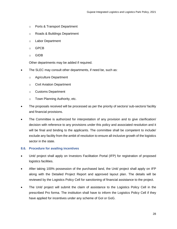- o Ports & Transport Department
- o Roads & Buildings Department
- o Labor Department
- o GPCB
- o GIDB

Other departments may be added if required.

- The SLEC may consult other departments, if need be, such as:
	- o Agriculture Department
	- o Civil Aviation Department
	- o Customs Department
	- o Town Planning Authority, etc.
- The proposals received will be processed as per the priority of sectors/ sub-sectors/ facility and financial provisions.
- The Committee is authorized for interpretation of any provision and to give clarification/ decision with reference to any provisions under this policy and associated resolution and it will be final and binding to the applicants. The committee shall be competent to include/ exclude any facility from the ambit of resolution to ensure all-inclusive growth of the logistics sector in the state.

#### **8.6. Procedure for availing incentives**

- Unit/ project shall apply on Investors Facilitation Portal (IFP) for registration of proposed logistics facilities.
- After taking 100% possession of the purchased land, the Unit/ project shall apply on IFP along with the Detailed Project Report and approved layout plan. The details will be reviewed by the Logistics Policy Cell for sanctioning of financial assistance to the project.
- The Unit/ project will submit the claim of assistance to the Logistics Policy Cell in the prescribed Pro forma. The institution shall have to inform the Logistics Policy Cell if they have applied for incentives under any scheme of GoI or GoG.